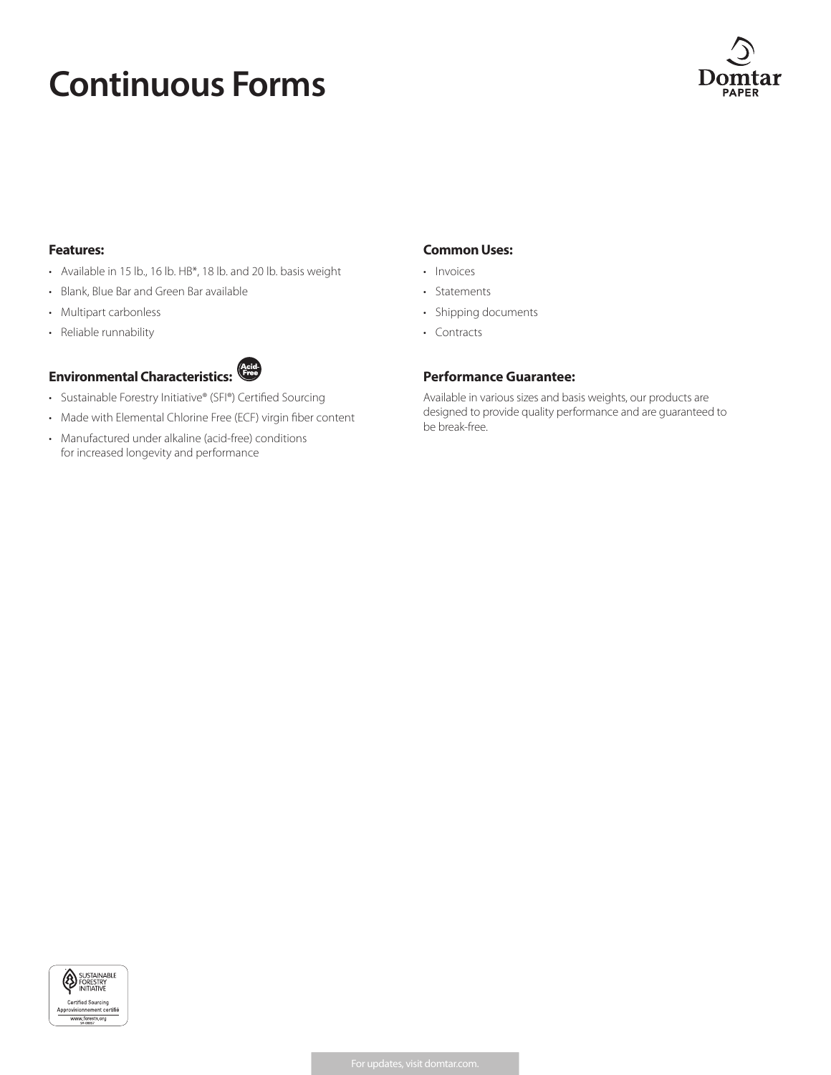# **Continuous Forms**



#### **Features:**

- Available in 15 lb., 16 lb. HB\*, 18 lb. and 20 lb. basis weight
- Blank, Blue Bar and Green Bar available
- Multipart carbonless
- Reliable runnability



- Sustainable Forestry Initiative® (SFI®) Certified Sourcing
- Made with Elemental Chlorine Free (ECF) virgin fiber content
- Manufactured under alkaline (acid-free) conditions for increased longevity and performance

## **Common Uses:**

- Invoices
- Statements
- Shipping documents
- Contracts

### **Performance Guarantee:**

Available in various sizes and basis weights, our products are designed to provide quality performance and are guaranteed to be break-free.